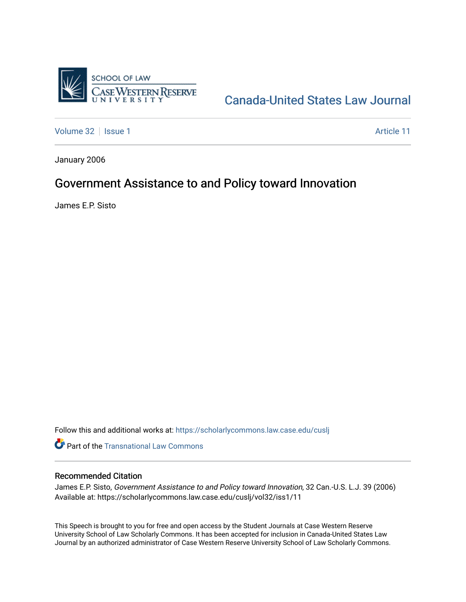

# [Canada-United States Law Journal](https://scholarlycommons.law.case.edu/cuslj)

[Volume 32](https://scholarlycommons.law.case.edu/cuslj/vol32) | [Issue 1](https://scholarlycommons.law.case.edu/cuslj/vol32/iss1) Article 11

January 2006

## Government Assistance to and Policy toward Innovation

James E.P. Sisto

Follow this and additional works at: [https://scholarlycommons.law.case.edu/cuslj](https://scholarlycommons.law.case.edu/cuslj?utm_source=scholarlycommons.law.case.edu%2Fcuslj%2Fvol32%2Fiss1%2F11&utm_medium=PDF&utm_campaign=PDFCoverPages)

**Part of the [Transnational Law Commons](http://network.bepress.com/hgg/discipline/1123?utm_source=scholarlycommons.law.case.edu%2Fcuslj%2Fvol32%2Fiss1%2F11&utm_medium=PDF&utm_campaign=PDFCoverPages)** 

### Recommended Citation

James E.P. Sisto, Government Assistance to and Policy toward Innovation, 32 Can.-U.S. L.J. 39 (2006) Available at: https://scholarlycommons.law.case.edu/cuslj/vol32/iss1/11

This Speech is brought to you for free and open access by the Student Journals at Case Western Reserve University School of Law Scholarly Commons. It has been accepted for inclusion in Canada-United States Law Journal by an authorized administrator of Case Western Reserve University School of Law Scholarly Commons.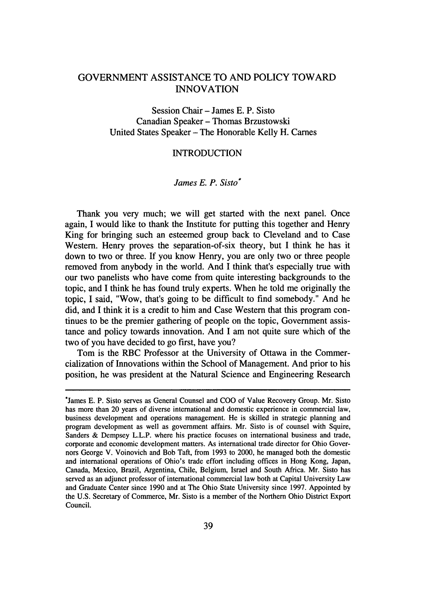## GOVERNMENT ASSISTANCE TO AND POLICY TOWARD INNOVATION

Session Chair - James E. P. Sisto Canadian Speaker - Thomas Brzustowski United States Speaker - The Honorable Kelly H. Carnes

#### INTRODUCTION

#### *James E. P. Sisto\**

Thank you very much; we will get started with the next panel. Once again, I would like to thank the Institute for putting this together and Henry King for bringing such an esteemed group back to Cleveland and to Case Western. Henry proves the separation-of-six theory, but I think he has it down to two or three. If you know Henry, you are only two or three people removed from anybody in the world. And I think that's especially true with our two panelists who have come from quite interesting backgrounds to the topic, and I think he has found truly experts. When he told me originally the topic, I said, "Wow, that's going to be difficult to find somebody." And he did, and I think it is a credit to him and Case Western that this program continues to be the premier gathering of people on the topic, Government assistance and policy towards innovation. And I am not quite sure which of the two of you have decided to go first, have you?

Tom is the RBC Professor at the University of Ottawa in the Commercialization of Innovations within the School of Management. And prior to his position, he was president at the Natural Science and Engineering Research

<sup>\*</sup>James E. P. Sisto serves as General Counsel and COO of Value Recovery Group. Mr. Sisto has more than 20 years of diverse international and domestic experience in commercial law, business development and operations management. He is skilled in strategic planning and program development as well as government affairs. Mr. Sisto is of counsel with Squire, Sanders & Dempsey L.L.P. where his practice focuses on international business and trade, corporate and economic development matters. As international trade director for Ohio Governors George V. Voinovich and Bob Taft, from 1993 to 2000, he managed both the domestic and international operations of Ohio's trade effort including offices in Hong Kong, Japan, Canada, Mexico, Brazil, Argentina, Chile, Belgium, Israel and South Africa. Mr. Sisto has served as an adjunct professor of international commercial law both at Capital University Law and Graduate Center since 1990 and at The Ohio State University since 1997. Appointed by the U.S. Secretary of Commerce, Mr. Sisto is a member of the Northern Ohio District Export Council.